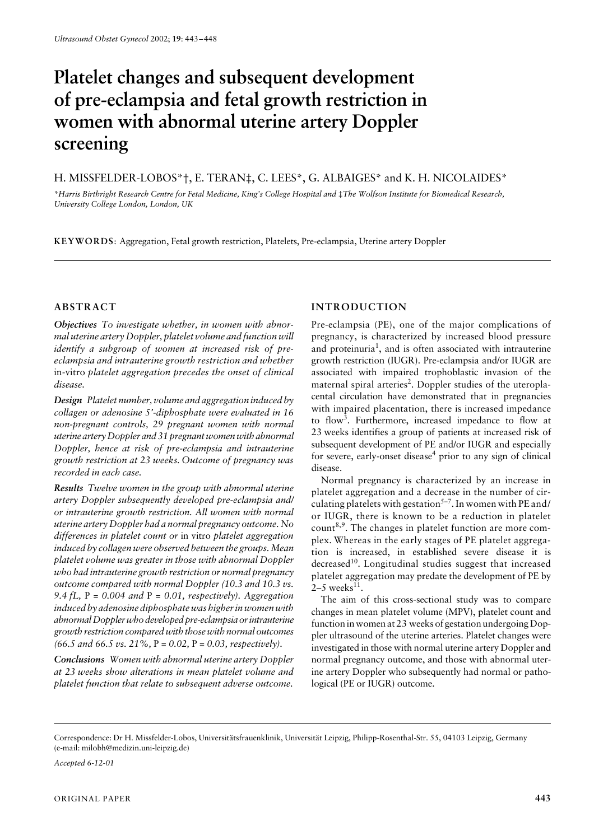# Platelet changes and subsequent development **of pre-eclampsia and fetal growth restriction in women with abnormal uterine artery Doppler screening**

## H. MISSFELDER-LOBOS\*†, E. TERAN‡, C. LEES\*, G. ALBAIGES\* and K. H. NICOLAIDES\*

\**Harris Birthright Research Centre for Fetal Medicine, King's College Hospital and* ‡*The Wolfson Institute for Biomedical Research, University College London, London, UK* 

**KEYWORDS**: Aggregation, Fetal growth restriction, Platelets, Pre-eclampsia, Uterine artery Doppler

#### **ABSTRACT**

*Objectives To investigate whether, in women with abnormal uterine artery Doppler, platelet volume and function will identify a subgroup of women at increased risk of preeclampsia and intrauterine growth restriction and whether* in-vitro *platelet aggregation precedes the onset of clinical disease.*

*Design Platelet number, volume and aggregation induced by collagen or adenosine 5'-diphosphate were evaluated in 16 non-pregnant controls, 29 pregnant women with normal uterine artery Doppler and 31 pregnant women with abnormal Doppler, hence at risk of pre-eclampsia and intrauterine growth restriction at 23 weeks. Outcome of pregnancy was recorded in each case.*

*Results Twelve women in the group with abnormal uterine artery Doppler subsequently developed pre-eclampsia and/ or intrauterine growth restriction. All women with normal uterine artery Doppler had a normal pregnancy outcome. No differences in platelet count or* in vitro *platelet aggregation induced by collagen were observed between the groups. Mean platelet volume was greater in those with abnormal Doppler who had intrauterine growth restriction or normal pregnancy outcome compared with normal Doppler (10.3 and 10.3 vs. 9.4 fL,* P *= 0.004 and* P *= 0.01, respectively). Aggregation induced by adenosine diphosphate was higher in women with abnormal Doppler who developed pre-eclampsia or intrauterine growth restriction compared with those with normal outcomes (66.5 and 66.5 vs. 21%,* P *= 0.02,* P *= 0.03, respectively).*

*Conclusions Women with abnormal uterine artery Doppler at 23 weeks show alterations in mean platelet volume and platelet function that relate to subsequent adverse outcome.*

#### **INTRODUCTION**

Pre-eclampsia (PE), one of the major complications of pregnancy, is characterized by increased blood pressure and proteinuria<sup>1</sup>, and is often associated with intrauterine growth restriction (IUGR). Pre-eclampsia and/or IUGR are associated with impaired trophoblastic invasion of the maternal spiral arteries<sup>2</sup>. Doppler studies of the uteroplacental circulation have demonstrated that in pregnancies with impaired placentation, there is increased impedance to flow<sup>3</sup>. Furthermore, increased impedance to flow at 23 weeks identifies a group of patients at increased risk of subsequent development of PE and/or IUGR and especially for severe, early-onset disease<sup>4</sup> prior to any sign of clinical disease.

Normal pregnancy is characterized by an increase in platelet aggregation and a decrease in the number of circulating platelets with gestation<sup>5-7</sup>. In women with PE and/ or IUGR, there is known to be a reduction in platelet  $count<sup>8,9</sup>$ . The changes in platelet function are more complex. Whereas in the early stages of PE platelet aggregation is increased, in established severe disease it is decreased<sup>10</sup>. Longitudinal studies suggest that increased platelet aggregation may predate the development of PE by  $2-5$  weeks<sup>11</sup>.

The aim of this cross-sectional study was to compare changes in mean platelet volume (MPV), platelet count and function in women at 23 weeks of gestation undergoing Doppler ultrasound of the uterine arteries. Platelet changes were investigated in those with normal uterine artery Doppler and normal pregnancy outcome, and those with abnormal uterine artery Doppler who subsequently had normal or pathological (PE or IUGR) outcome.

*Accepted 6-12-01*

Correspondence: Dr H. Missfelder-Lobos, Universitätsfrauenklinik, Universität Leipzig, Philipp-Rosenthal-Str. 55, 04103 Leipzig, Germany (e-mail: milobh@medizin.uni-leipzig.de)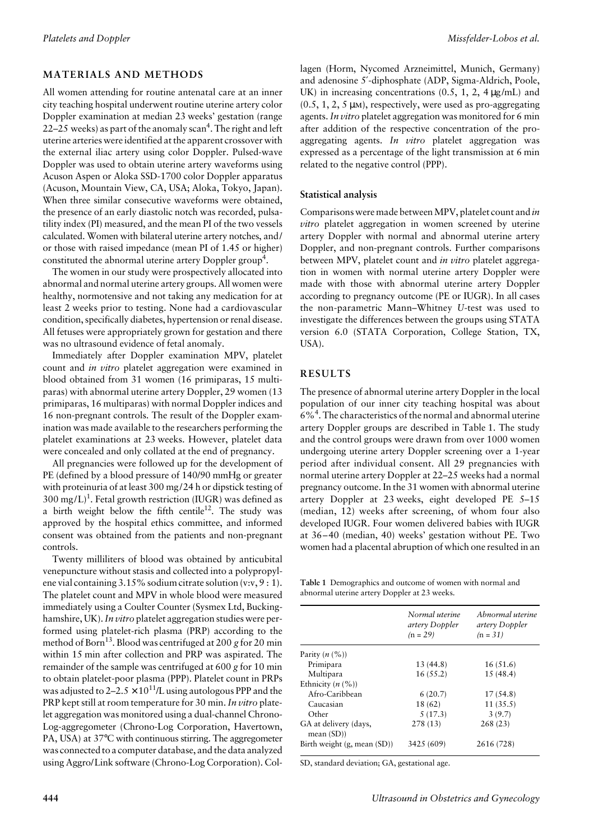## **MATERIALS AND METHODS**

All women attending for routine antenatal care at an inner city teaching hospital underwent routine uterine artery color Doppler examination at median 23 weeks' gestation (range 22–25 weeks) as part of the anomaly scan<sup>4</sup>. The right and left uterine arteries were identified at the apparent crossover with the external iliac artery using color Doppler. Pulsed-wave Doppler was used to obtain uterine artery waveforms using Acuson Aspen or Aloka SSD-1700 color Doppler apparatus (Acuson, Mountain View, CA, USA; Aloka, Tokyo, Japan). When three similar consecutive waveforms were obtained, the presence of an early diastolic notch was recorded, pulsatility index (PI) measured, and the mean PI of the two vessels calculated. Women with bilateral uterine artery notches, and/ or those with raised impedance (mean PI of 1.45 or higher) constituted the abnormal uterine artery Doppler group<sup>4</sup>.

The women in our study were prospectively allocated into abnormal and normal uterine artery groups. All women were healthy, normotensive and not taking any medication for at least 2 weeks prior to testing. None had a cardiovascular condition, specifically diabetes, hypertension or renal disease. All fetuses were appropriately grown for gestation and there was no ultrasound evidence of fetal anomaly.

Immediately after Doppler examination MPV, platelet count and *in vitro* platelet aggregation were examined in blood obtained from 31 women (16 primiparas, 15 multiparas) with abnormal uterine artery Doppler, 29 women (13 primiparas, 16 multiparas) with normal Doppler indices and 16 non-pregnant controls. The result of the Doppler examination was made available to the researchers performing the platelet examinations at 23 weeks. However, platelet data were concealed and only collated at the end of pregnancy.

All pregnancies were followed up for the development of PE (defined by a blood pressure of 140/90 mmHg or greater with proteinuria of at least 300 mg/24 h or dipstick testing of 300 mg/L $)^1$ . Fetal growth restriction (IUGR) was defined as a birth weight below the fifth centile<sup>12</sup>. The study was approved by the hospital ethics committee, and informed consent was obtained from the patients and non-pregnant controls.

Twenty milliliters of blood was obtained by anticubital venepuncture without stasis and collected into a polypropylene vial containing 3.15% sodium citrate solution (v:v, 9 : 1). The platelet count and MPV in whole blood were measured immediately using a Coulter Counter (Sysmex Ltd, Buckinghamshire, UK). *In vitro* platelet aggregation studies were performed using platelet-rich plasma (PRP) according to the method of Born<sup>13</sup>. Blood was centrifuged at 200 *g* for 20 min within 15 min after collection and PRP was aspirated. The remainder of the sample was centrifuged at 600 *g* for 10 min to obtain platelet-poor plasma (PPP). Platelet count in PRPs was adjusted to  $2-2.5 \times 10^{11}$ /L using autologous PPP and the PRP kept still at room temperature for 30 min. *In vitro* platelet aggregation was monitored using a dual-channel Chrono-Log-aggregometer (Chrono-Log Corporation, Havertown, PA, USA) at 37°C with continuous stirring. The aggregometer was connected to a computer database, and the data analyzed using Aggro/Link software (Chrono-Log Corporation). Collagen (Horm, Nycomed Arzneimittel, Munich, Germany) and adenosine 5′-diphosphate (ADP, Sigma-Aldrich, Poole, UK) in increasing concentrations  $(0.5, 1, 2, 4 \mu g/mL)$  and  $(0.5, 1, 2, 5 \mu)$ , respectively, were used as pro-aggregating agents. *In vitro* platelet aggregation was monitored for 6 min after addition of the respective concentration of the proaggregating agents. *In vitro* platelet aggregation was expressed as a percentage of the light transmission at 6 min related to the negative control (PPP).

## **Statistical analysis**

Comparisons were made between MPV, platelet count and *in vitro* platelet aggregation in women screened by uterine artery Doppler with normal and abnormal uterine artery Doppler, and non-pregnant controls. Further comparisons between MPV, platelet count and *in vitro* platelet aggregation in women with normal uterine artery Doppler were made with those with abnormal uterine artery Doppler according to pregnancy outcome (PE or IUGR). In all cases the non-parametric Mann–Whitney *U*-test was used to investigate the differences between the groups using STATA version 6.0 (STATA Corporation, College Station, TX, USA).

# **RESULTS**

The presence of abnormal uterine artery Doppler in the local population of our inner city teaching hospital was about 6%4 . The characteristics of the normal and abnormal uterine artery Doppler groups are described in Table 1. The study and the control groups were drawn from over 1000 women undergoing uterine artery Doppler screening over a 1-year period after individual consent. All 29 pregnancies with normal uterine artery Doppler at 22–25 weeks had a normal pregnancy outcome. In the 31 women with abnormal uterine artery Doppler at 23 weeks, eight developed PE 5–15 (median, 12) weeks after screening, of whom four also developed IUGR. Four women delivered babies with IUGR at 36–40 (median, 40) weeks' gestation without PE. Two women had a placental abruption of which one resulted in an

**Table 1** Demographics and outcome of women with normal and abnormal uterine artery Doppler at 23 weeks.

|                                      | Normal uterine<br>artery Doppler<br>$(n = 29)$ | Abnormal uterine<br>artery Doppler<br>$(n = 31)$ |
|--------------------------------------|------------------------------------------------|--------------------------------------------------|
| Parity $(n \, (%)$                   |                                                |                                                  |
| Primipara                            | 13 (44.8)                                      | 16(51.6)                                         |
| Multipara                            | 16(55.2)                                       | 15(48.4)                                         |
| Ethnicity $(n \, (%)$                |                                                |                                                  |
| Afro-Caribbean                       | 6(20.7)                                        | 17(54.8)                                         |
| Caucasian                            | 18 (62)                                        | 11(35.5)                                         |
| Other                                | 5(17.3)                                        | 3(9.7)                                           |
| GA at delivery (days,<br>mean $(SD)$ | 278 (13)                                       | 268(23)                                          |
| Birth weight (g, mean (SD))          | 3425 (609)                                     | 2616 (728)                                       |

SD, standard deviation; GA, gestational age.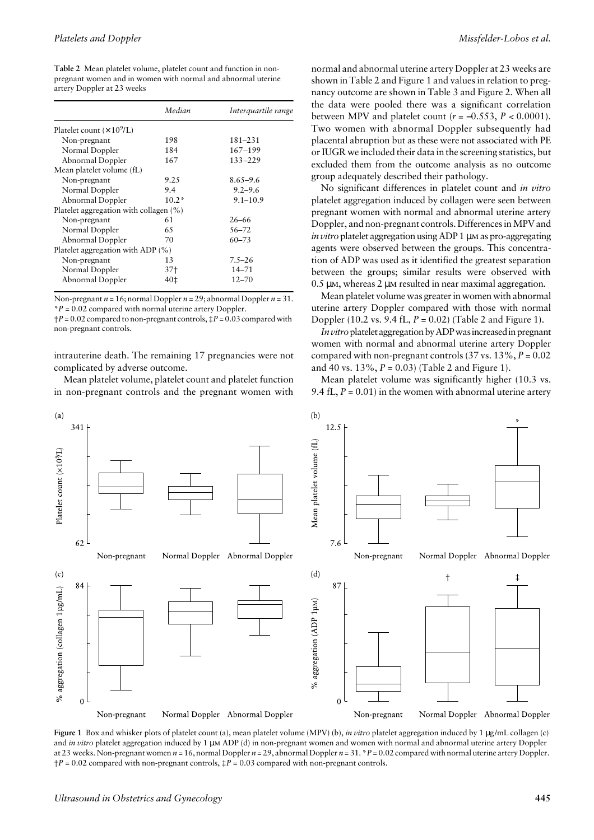**Table 2** Mean platelet volume, platelet count and function in nonpregnant women and in women with normal and abnormal uterine artery Doppler at 23 weeks

|                                               | Median  | Interguartile range |
|-----------------------------------------------|---------|---------------------|
| Platelet count ( $\times$ 10 <sup>9</sup> /L) |         |                     |
| Non-pregnant                                  | 198     | 181-231             |
| Normal Doppler                                | 184     | $167 - 199$         |
| Abnormal Doppler                              | 167     | $133 - 229$         |
| Mean platelet volume (fL)                     |         |                     |
| Non-pregnant                                  | 9.25    | $8.65 - 9.6$        |
| Normal Doppler                                | 9.4     | $9.2 - 9.6$         |
| Abnormal Doppler                              | $10.2*$ | $9.1 - 10.9$        |
| Platelet aggregation with collagen (%)        |         |                     |
| Non-pregnant                                  | 61      | $26 - 66$           |
| Normal Doppler                                | 65      | $56 - 72$           |
| Abnormal Doppler                              | 70      | $60 - 73$           |
| Platelet aggregation with ADP $(\% )$         |         |                     |
| Non-pregnant                                  | 13      | $7.5 - 26$          |
| Normal Doppler                                | $37+$   | $14 - 71$           |
| Abnormal Doppler                              | 40‡     | $12 - 70$           |

Non-pregnant *n* = 16; normal Doppler *n* = 29; abnormal Doppler *n* = 31. \**P* = 0.02 compared with normal uterine artery Doppler.

†*P* = 0.02 compared to non-pregnant controls, ‡*P* = 0.03 compared with non-pregnant controls.

intrauterine death. The remaining 17 pregnancies were not complicated by adverse outcome.

Mean platelet volume, platelet count and platelet function in non-pregnant controls and the pregnant women with

normal and abnormal uterine artery Doppler at 23 weeks are shown in Table 2 and Figure 1 and values in relation to pregnancy outcome are shown in Table 3 and Figure 2. When all the data were pooled there was a significant correlation between MPV and platelet count  $(r = -0.553, P < 0.0001)$ . Two women with abnormal Doppler subsequently had placental abruption but as these were not associated with PE or IUGR we included their data in the screening statistics, but excluded them from the outcome analysis as no outcome group adequately described their pathology.

No significant differences in platelet count and *in vitro* platelet aggregation induced by collagen were seen between pregnant women with normal and abnormal uterine artery Doppler, and non-pregnant controls. Differences in MPV and *in vitro* platelet aggregation using ADP 1 µm as pro-aggregating agents were observed between the groups. This concentration of ADP was used as it identified the greatest separation between the groups; similar results were observed with 0.5 µm, whereas 2 µm resulted in near maximal aggregation.

Mean platelet volume was greater in women with abnormal uterine artery Doppler compared with those with normal Doppler (10.2 vs. 9.4 fL, *P* = 0.02) (Table 2 and Figure 1).

*In vitro* platelet aggregation by ADP was increased in pregnant women with normal and abnormal uterine artery Doppler compared with non-pregnant controls  $(37 \text{ vs. } 13\%, P = 0.02)$ and 40 vs. 13%, *P* = 0.03) (Table 2 and Figure 1).

Mean platelet volume was significantly higher (10.3 vs. 9.4 fL,  $P = 0.01$  in the women with abnormal uterine artery



**Figure 1** Box and whisker plots of platelet count (a), mean platelet volume (MPV) (b), *in vitro* platelet aggregation induced by 1 µg/mL collagen (c) and *in vitro* platelet aggregation induced by 1  $\mu$ m ADP (d) in non-pregnant women and women with normal and abnormal uterine artery Doppler at 23 weeks. Non-pregnant women *n* = 16, normal Doppler *n* = 29, abnormal Doppler *n* = 31. \**P* = 0.02 compared with normal uterine artery Doppler. †*P* = 0.02 compared with non-pregnant controls, ‡*P* = 0.03 compared with non-pregnant controls.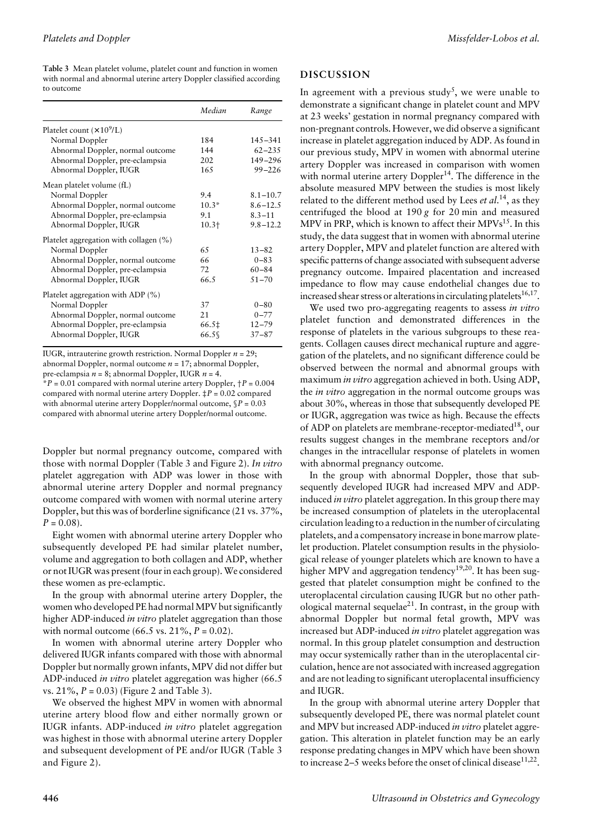**Table 3** Mean platelet volume, platelet count and function in women with normal and abnormal uterine artery Doppler classified according to outcome

|                                           | Median  | Range        |
|-------------------------------------------|---------|--------------|
| Platelet count ( $\times 10^9$ /L)        |         |              |
| Normal Doppler                            | 184     | $145 - 341$  |
| Abnormal Doppler, normal outcome          | 144     | $62 - 235$   |
| Abnormal Doppler, pre-eclampsia           | 202     | 149-296      |
| Abnormal Doppler, IUGR                    | 165     | $99 - 226$   |
| Mean platelet volume (fL)                 |         |              |
| Normal Doppler                            | 9.4     | $8.1 - 10.7$ |
| Abnormal Doppler, normal outcome          | $10.3*$ | $8.6 - 12.5$ |
| Abnormal Doppler, pre-eclampsia           | 9.1     | $8.3 - 11$   |
| Abnormal Doppler, IUGR                    | $10.3+$ | $9.8 - 12.2$ |
| Platelet aggregation with collagen $(\%)$ |         |              |
| Normal Doppler                            | 65      | $13 - 82$    |
| Abnormal Doppler, normal outcome          | 66      | $0 - 83$     |
| Abnormal Doppler, pre-eclampsia           | 72      | $60 - 84$    |
| Abnormal Doppler, IUGR                    | 66.5    | $51 - 70$    |
| Platelet aggregation with ADP $(\%)$      |         |              |
| Normal Doppler                            | 37      | $0 - 80$     |
| Abnormal Doppler, normal outcome          | 21      | $0 - 77$     |
| Abnormal Doppler, pre-eclampsia           | 66.5‡   | $12 - 79$    |
| Abnormal Doppler, IUGR                    | 66.5\$  | $37 - 87$    |

IUGR, intrauterine growth restriction. Normal Doppler *n* = 29; abnormal Doppler, normal outcome *n* = 17; abnormal Doppler, pre-eclampsia *n* = 8; abnormal Doppler, IUGR *n* = 4.

 $*P = 0.01$  compared with normal uterine artery Doppler,  $\dagger P = 0.004$ compared with normal uterine artery Doppler. ‡*P* = 0.02 compared with abnormal uterine artery Doppler/normal outcome,  $P = 0.03$ compared with abnormal uterine artery Doppler/normal outcome.

Doppler but normal pregnancy outcome, compared with those with normal Doppler (Table 3 and Figure 2). *In vitro* platelet aggregation with ADP was lower in those with abnormal uterine artery Doppler and normal pregnancy outcome compared with women with normal uterine artery Doppler, but this was of borderline significance (21 vs. 37%,  $P = 0.08$ .

Eight women with abnormal uterine artery Doppler who subsequently developed PE had similar platelet number, volume and aggregation to both collagen and ADP, whether or not IUGR was present (four in each group). We considered these women as pre-eclamptic.

In the group with abnormal uterine artery Doppler, the women who developed PE had normal MPV but significantly higher ADP-induced *in vitro* platelet aggregation than those with normal outcome (66.5 vs. 21%, *P* = 0.02).

In women with abnormal uterine artery Doppler who delivered IUGR infants compared with those with abnormal Doppler but normally grown infants, MPV did not differ but ADP-induced *in vitro* platelet aggregation was higher (66.5 vs. 21%, *P* = 0.03) (Figure 2 and Table 3).

We observed the highest MPV in women with abnormal uterine artery blood flow and either normally grown or IUGR infants. ADP-induced *in vitro* platelet aggregation was highest in those with abnormal uterine artery Doppler and subsequent development of PE and/or IUGR (Table 3 and Figure 2).

#### **DISCUSSION**

In agreement with a previous study<sup>5</sup>, we were unable to demonstrate a significant change in platelet count and MPV at 23 weeks' gestation in normal pregnancy compared with non-pregnant controls. However, we did observe a significant increase in platelet aggregation induced by ADP. As found in our previous study, MPV in women with abnormal uterine artery Doppler was increased in comparison with women with normal uterine artery  $Doppler<sup>14</sup>$ . The difference in the absolute measured MPV between the studies is most likely related to the different method used by Lees *et al*. 14, as they centrifuged the blood at 190 *g* for 20 min and measured MPV in PRP, which is known to affect their  $MPVs^{15}$ . In this study, the data suggest that in women with abnormal uterine artery Doppler, MPV and platelet function are altered with specific patterns of change associated with subsequent adverse pregnancy outcome. Impaired placentation and increased impedance to flow may cause endothelial changes due to increased shear stress or alterations in circulating platelets<sup>16,17</sup>.

We used two pro-aggregating reagents to assess *in vitro* platelet function and demonstrated differences in the response of platelets in the various subgroups to these reagents. Collagen causes direct mechanical rupture and aggregation of the platelets, and no significant difference could be observed between the normal and abnormal groups with maximum *in vitro* aggregation achieved in both. Using ADP, the *in vitro* aggregation in the normal outcome groups was about 30%, whereas in those that subsequently developed PE or IUGR, aggregation was twice as high. Because the effects of ADP on platelets are membrane-receptor-mediated<sup>18</sup>, our results suggest changes in the membrane receptors and/or changes in the intracellular response of platelets in women with abnormal pregnancy outcome.

In the group with abnormal Doppler, those that subsequently developed IUGR had increased MPV and ADPinduced *in vitro* platelet aggregation. In this group there may be increased consumption of platelets in the uteroplacental circulation leading to a reduction in the number of circulating platelets, and a compensatory increase in bone marrow platelet production. Platelet consumption results in the physiological release of younger platelets which are known to have a higher MPV and aggregation tendency<sup>19,20</sup>. It has been suggested that platelet consumption might be confined to the uteroplacental circulation causing IUGR but no other pathological maternal sequelae<sup>21</sup>. In contrast, in the group with abnormal Doppler but normal fetal growth, MPV was increased but ADP-induced *in vitro* platelet aggregation was normal. In this group platelet consumption and destruction may occur systemically rather than in the uteroplacental circulation, hence are not associated with increased aggregation and are not leading to significant uteroplacental insufficiency and IUGR.

In the group with abnormal uterine artery Doppler that subsequently developed PE, there was normal platelet count and MPV but increased ADP-induced *in vitro* platelet aggregation. This alteration in platelet function may be an early response predating changes in MPV which have been shown to increase  $2-5$  weeks before the onset of clinical disease<sup>11,22</sup>.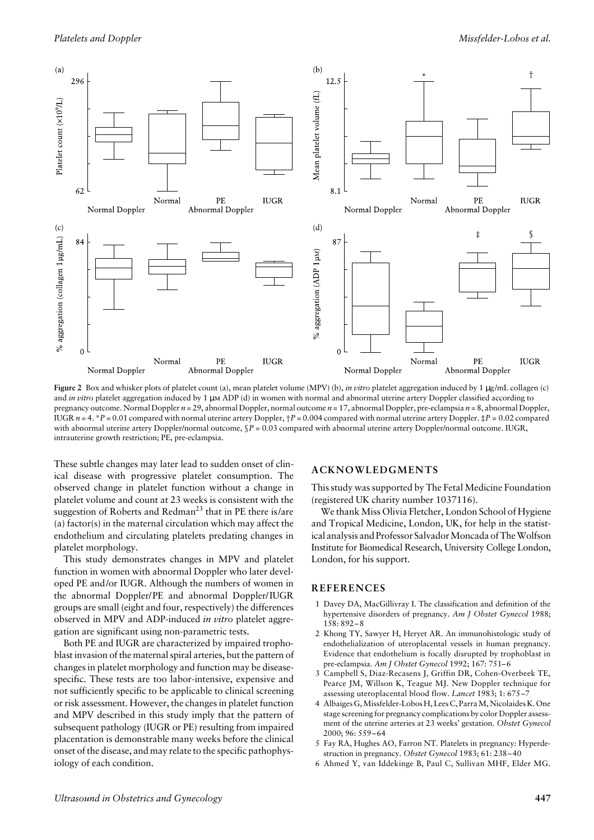

**Figure 2** Box and whisker plots of platelet count (a), mean platelet volume (MPV) (b), *in vitro* platelet aggregation induced by 1 µg/mL collagen (c) and *in vitro* platelet aggregation induced by 1 µm ADP (d) in women with normal and abnormal uterine artery Doppler classified according to pregnancy outcome. Normal Doppler *n* = 29, abnormal Doppler, normal outcome *n* = 17, abnormal Doppler, pre-eclampsia *n* = 8, abnormal Doppler, IUGR *n* = 4. \**P* = 0.01 compared with normal uterine artery Doppler, †*P* = 0.004 compared with normal uterine artery Doppler. ‡*P* = 0.02 compared with abnormal uterine artery Doppler/normal outcome,  $\oint P = 0.03$  compared with abnormal uterine artery Doppler/normal outcome. IUGR, intrauterine growth restriction; PE, pre-eclampsia.

These subtle changes may later lead to sudden onset of clinical disease with progressive platelet consumption. The observed change in platelet function without a change in platelet volume and count at 23 weeks is consistent with the suggestion of Roberts and Redman<sup>23</sup> that in PE there is/are (a) factor(s) in the maternal circulation which may affect the endothelium and circulating platelets predating changes in platelet morphology.

This study demonstrates changes in MPV and platelet function in women with abnormal Doppler who later developed PE and/or IUGR. Although the numbers of women in the abnormal Doppler/PE and abnormal Doppler/IUGR groups are small (eight and four, respectively) the differences observed in MPV and ADP-induced *in vitro* platelet aggregation are significant using non-parametric tests.

Both PE and IUGR are characterized by impaired trophoblast invasion of the maternal spiral arteries, but the pattern of changes in platelet morphology and function may be diseasespecific. These tests are too labor-intensive, expensive and not sufficiently specific to be applicable to clinical screening or risk assessment. However, the changes in platelet function and MPV described in this study imply that the pattern of subsequent pathology (IUGR or PE) resulting from impaired placentation is demonstrable many weeks before the clinical onset of the disease, and may relate to the specific pathophysiology of each condition.

#### **ACKNOWLEDGMENTS**

This study was supported by The Fetal Medicine Foundation (registered UK charity number 1037116).

We thank Miss Olivia Fletcher, London School of Hygiene and Tropical Medicine, London, UK, for help in the statistical analysis and Professor Salvador Moncada of The Wolfson Institute for Biomedical Research, University College London, London, for his support.

#### **REFERENCES**

- 1 Davey DA, MacGillivray I. The classification and definition of the hypertensive disorders of pregnancy. *Am J Obstet Gynecol* 1988; 158: 892–8
- 2 Khong TY, Sawyer H, Heryet AR. An immunohistologic study of endothelialization of uteroplacental vessels in human pregnancy. Evidence that endothelium is focally disrupted by trophoblast in pre-eclampsia. *Am J Obstet Gynecol* 1992; 167: 751–6
- 3 Campbell S, Diaz-Recasens J, Griffin DR, Cohen-Overbeek TE, Pearce JM, Willson K, Teague MJ. New Doppler technique for assessing uteroplacental blood flow. *Lancet* 1983; 1: 675–7
- 4 Albaiges G, Missfelder-Lobos H, Lees C, Parra M, Nicolaides K. One stage screening for pregnancy complications by color Doppler assessment of the uterine arteries at 23 weeks' gestation. *Obstet Gynecol* 2000; 96: 559–64
- 5 Fay RA, Hughes AO, Farron NT. Platelets in pregnancy: Hyperdestruction in pregnancy. *Obstet Gynecol* 1983; 61: 238–40
- 6 Ahmed Y, van Iddekinge B, Paul C, Sullivan MHF, Elder MG.